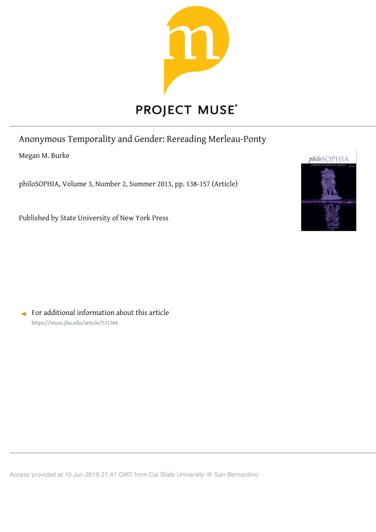

# PROJECT MUSE®

Anonymous Temporality and Gender: Rereading Merleau-Ponty

Megan M. Burke

philoSOPHIA, Volume 3, Number 2, Summer 2013, pp. 138-157 (Article)

Published by State University of New York Press

 $\rightarrow$  For additional information about this article https://muse.jhu.edu/article/531366



Access provided at 10 Jun 2019 21:41 GMT from Cal State University @ San Bernardino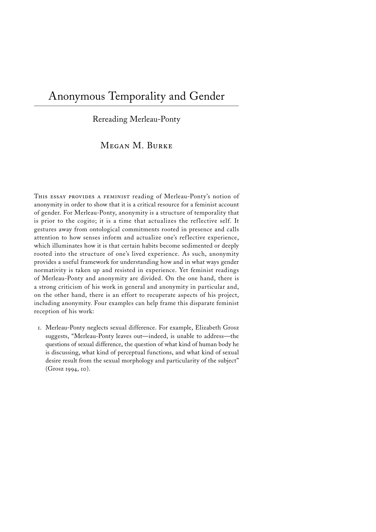# Anonymous Temporality and Gender

Rereading Merleau-Ponty

Megan M. Burke

THIS ESSAY PROVIDES A FEMINIST reading of Merleau-Ponty's notion of anonymity in order to show that it is a critical resource for a feminist account of gender. For Merleau-Ponty, anonymity is a structure of temporality that is prior to the cogito; it is a time that actualizes the reflective self. It gestures away from ontological commitments rooted in presence and calls attention to how senses inform and actualize one's reflective experience, which illuminates how it is that certain habits become sedimented or deeply rooted into the structure of one's lived experience. As such, anonymity provides a useful framework for understanding how and in what ways gender normativity is taken up and resisted in experience. Yet feminist readings of Merleau-Ponty and anonymity are divided. On the one hand, there is a strong criticism of his work in general and anonymity in particular and, on the other hand, there is an effort to recuperate aspects of his project, including anonymity. Four examples can help frame this disparate feminist reception of his work:

1. Merleau-Ponty neglects sexual difference. For example, Elizabeth Grosz suggests, "Merleau-Ponty leaves out—indeed, is unable to address—the questions of sexual difference, the question of what kind of human body he is discussing, what kind of perceptual functions, and what kind of sexual desire result from the sexual morphology and particularity of the subject" (Grosz 1994, 10).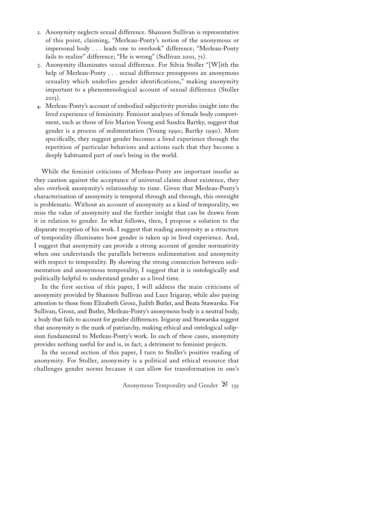- 2. Anonymity neglects sexual difference. Shannon Sullivan is representative of this point, claiming, "Merleau-Ponty's notion of the anonymous or impersonal body . . . leads one to overlook" difference; "Merleau-Ponty fails to realize" difference; "He is wrong" (Sullivan 2001, 71).
- 3. Anonymity illuminates sexual difference. For Silvia Stoller "[W]ith the help of Merleau-Ponty . . . sexual difference presupposes an anonymous sexuality which underlies gender identifications," making anonymity important to a phenomenological account of sexual difference (Stoller 2013).
- 4. Merleau-Ponty's account of embodied subjectivity provides insight into the lived experience of femininity. Feminist analyses of female body comportment, such as those of Iris Marion Young and Sandra Bartky, suggest that gender is a process of sedimentation (Young 1990; Bartky 1990). More specifically, they suggest gender becomes a lived experience through the repetition of particular behaviors and actions such that they become a deeply habituated part of one's being in the world.

While the feminist criticisms of Merleau-Ponty are important insofar as they caution against the acceptance of universal claims about existence, they also overlook anonymity's relationship to time. Given that Merleau-Ponty's characterization of anonymity is temporal through and through, this oversight is problematic. Without an account of anonymity as a kind of temporality, we miss the value of anonymity and the further insight that can be drawn from it in relation to gender. In what follows, then, I propose a solution to the disparate reception of his work. I suggest that reading anonymity as a structure of temporality illuminates how gender is taken up in lived experience. And, I suggest that anonymity can provide a strong account of gender normativity when one understands the parallels between sedimentation and anonymity with respect to temporality. By showing the strong connection between sedimentation and anonymous temporality, I suggest that it is ontologically and politically helpful to understand gender as a lived time.

In the first section of this paper, I will address the main criticisms of anonymity provided by Shannon Sullivan and Luce Irigaray, while also paying attention to those from Elizabeth Grosz, Judith Butler, and Beata Stawarska. For Sullivan, Grosz, and Butler, Merleau-Ponty's anonymous body is a neutral body, a body that fails to account for gender differences. Irigaray and Stawarska suggest that anonymity is the mark of patriarchy, making ethical and ontological solipsism fundamental to Merleau-Ponty's work. In each of these cases, anonymity provides nothing useful for and is, in fact, a detriment to feminist projects.

In the second section of this paper, I turn to Stoller's positive reading of anonymity. For Stoller, anonymity is a political and ethical resource that challenges gender norms because it can allow for transformation in one's

Anonymous Temporality and Gender  $\mathbb{X}_{139}$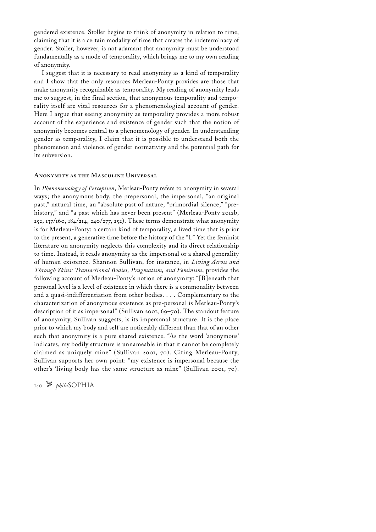gendered existence. Stoller begins to think of anonymity in relation to time, claiming that it is a certain modality of time that creates the indeterminacy of gender. Stoller, however, is not adamant that anonymity must be understood fundamentally as a mode of temporality, which brings me to my own reading of anonymity.

I suggest that it is necessary to read anonymity as a kind of temporality and I show that the only resources Merleau-Ponty provides are those that make anonymity recognizable as temporality. My reading of anonymity leads me to suggest, in the final section, that anonymous temporality and temporality itself are vital resources for a phenomenological account of gender. Here I argue that seeing anonymity as temporality provides a more robust account of the experience and existence of gender such that the notion of anonymity becomes central to a phenomenology of gender. In understanding gender as temporality, I claim that it is possible to understand both the phenomenon and violence of gender normativity and the potential path for its subversion.

# **Anonymity as the Masculine Universal**

In *Phenomenology of Perception*, Merleau-Ponty refers to anonymity in several ways; the anonymous body, the prepersonal, the impersonal, "an original past," natural time, an "absolute past of nature, "primordial silence," "prehistory," and "a past which has never been present" (Merleau-Ponty 2012b, 252, 137/160, 184/214, 240/277, 252). These terms demonstrate what anonymity is for Merleau-Ponty: a certain kind of temporality, a lived time that is prior to the present, a generative time before the history of the "I." Yet the feminist literature on anonymity neglects this complexity and its direct relationship to time. Instead, it reads anonymity as the impersonal or a shared generality of human existence. Shannon Sullivan, for instance, in *Living Across and Through Skins: Transactional Bodies, Pragmatism, and Feminism*, provides the following account of Merleau-Ponty's notion of anonymity: "[B]eneath that personal level is a level of existence in which there is a commonality between and a quasi-indifferentiation from other bodies. . . . Complementary to the characterization of anonymous existence as pre-personal is Merleau-Ponty's description of it as impersonal" (Sullivan 2001, 69–70). The standout feature of anonymity, Sullivan suggests, is its impersonal structure. It is the place prior to which my body and self are noticeably different than that of an other such that anonymity is a pure shared existence. "As the word 'anonymous' indicates, my bodily structure is unnameable in that it cannot be completely claimed as uniquely mine" (Sullivan 2001, 70). Citing Merleau-Ponty, Sullivan supports her own point: "my existence is impersonal because the other's 'living body has the same structure as mine" (Sullivan 2001, 70).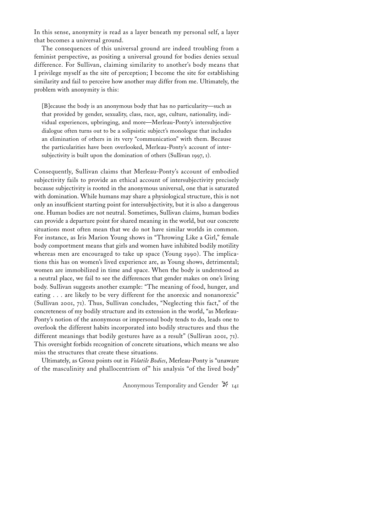In this sense, anonymity is read as a layer beneath my personal self, a layer that becomes a universal ground.

The consequences of this universal ground are indeed troubling from a feminist perspective, as positing a universal ground for bodies denies sexual difference. For Sullivan, claiming similarity to another's body means that I privilege myself as the site of perception; I become the site for establishing similarity and fail to perceive how another may differ from me. Ultimately, the problem with anonymity is this:

[B]ecause the body is an anonymous body that has no particularity—such as that provided by gender, sexuality, class, race, age, culture, nationality, individual experiences, upbringing, and more—Merleau-Ponty's intersubjective dialogue often turns out to be a solipsistic subject's monologue that includes an elimination of others in its very "communication" with them. Because the particularities have been overlooked, Merleau-Ponty's account of intersubjectivity is built upon the domination of others (Sullivan 1997, 1).

Consequently, Sullivan claims that Merleau-Ponty's account of embodied subjectivity fails to provide an ethical account of intersubjectivity precisely because subjectivity is rooted in the anonymous universal, one that is saturated with domination. While humans may share a physiological structure, this is not only an insufficient starting point for intersubjectivity, but it is also a dangerous one. Human bodies are not neutral. Sometimes, Sullivan claims, human bodies can provide a departure point for shared meaning in the world, but our concrete situations most often mean that we do not have similar worlds in common. For instance, as Iris Marion Young shows in "Throwing Like a Girl," female body comportment means that girls and women have inhibited bodily motility whereas men are encouraged to take up space (Young 1990). The implications this has on women's lived experience are, as Young shows, detrimental; women are immobilized in time and space. When the body is understood as a neutral place, we fail to see the differences that gender makes on one's living body. Sullivan suggests another example: "The meaning of food, hunger, and eating . . . are likely to be very different for the anorexic and nonanorexic" (Sullivan 2001, 71). Thus, Sullivan concludes, "Neglecting this fact," of the concreteness of my bodily structure and its extension in the world, "as Merleau-Ponty's notion of the anonymous or impersonal body tends to do, leads one to overlook the different habits incorporated into bodily structures and thus the different meanings that bodily gestures have as a result" (Sullivan 2001, 71). This oversight forbids recognition of concrete situations, which means we also miss the structures that create these situations.

Ultimately, as Grosz points out in *Volatile Bodies*, Merleau-Ponty is "unaware of the masculinity and phallocentrism of" his analysis "of the lived body"

Anonymous Temporality and Gender  $\mathbb{N}_{141}$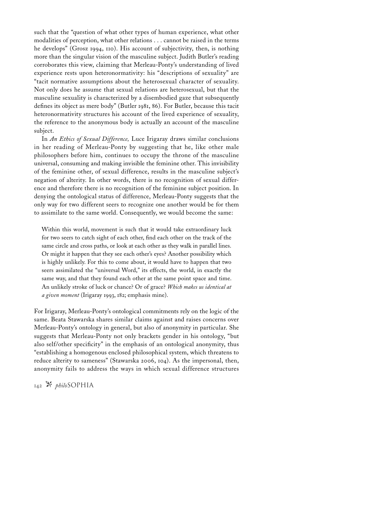such that the "question of what other types of human experience, what other modalities of perception, what other relations . . . cannot be raised in the terms he develops" (Grosz 1994, 110). His account of subjectivity, then, is nothing more than the singular vision of the masculine subject. Judith Butler's reading corroborates this view, claiming that Merleau-Ponty's understanding of lived experience rests upon heteronormativity: his "descriptions of sexuality" are "tacit normative assumptions about the heterosexual character of sexuality. Not only does he assume that sexual relations are heterosexual, but that the masculine sexuality is characterized by a disembodied gaze that subsequently defines its object as mere body" (Butler 1981, 86). For Butler, because this tacit heteronormativity structures his account of the lived experience of sexuality, the reference to the anonymous body is actually an account of the masculine subject.

In *An Ethics of Sexual Difference,* Luce Irigaray draws similar conclusions in her reading of Merleau-Ponty by suggesting that he, like other male philosophers before him, continues to occupy the throne of the masculine universal, consuming and making invisible the feminine other. This invisibility of the feminine other, of sexual difference, results in the masculine subject's negation of alterity. In other words, there is no recognition of sexual difference and therefore there is no recognition of the feminine subject position. In denying the ontological status of difference, Merleau-Ponty suggests that the only way for two different seers to recognize one another would be for them to assimilate to the same world. Consequently, we would become the same:

Within this world, movement is such that it would take extraordinary luck for two seers to catch sight of each other, find each other on the track of the same circle and cross paths, or look at each other as they walk in parallel lines. Or might it happen that they see each other's eyes? Another possibility which is highly unlikely. For this to come about, it would have to happen that two seers assimilated the "universal Word," its effects, the world, in exactly the same way, and that they found each other at the same point space and time. An unlikely stroke of luck or chance? Or of grace? *Which makes us identical at a given moment* (Irigaray 1993, 182; emphasis mine).

For Irigaray, Merleau-Ponty's ontological commitments rely on the logic of the same. Beata Stawarska shares similar claims against and raises concerns over Merleau-Ponty's ontology in general, but also of anonymity in particular. She suggests that Merleau-Ponty not only brackets gender in his ontology, "but also self/other specificity" in the emphasis of an ontological anonymity, thus "establishing a homogenous enclosed philosophical system, which threatens to reduce alterity to sameness" (Stawarska 2006, 104). As the impersonal, then, anonymity fails to address the ways in which sexual difference structures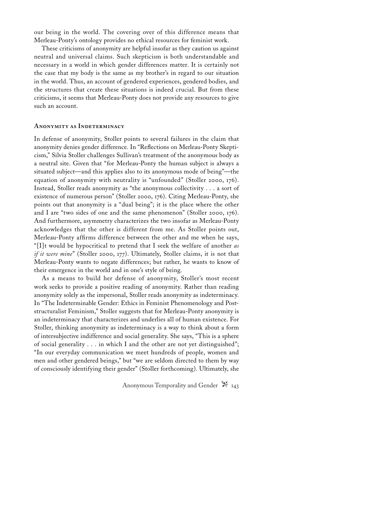our being in the world. The covering over of this difference means that Merleau-Ponty's ontology provides no ethical resources for feminist work.

These criticisms of anonymity are helpful insofar as they caution us against neutral and universal claims. Such skepticism is both understandable and necessary in a world in which gender differences matter. It is certainly not the case that my body is the same as my brother's in regard to our situation in the world. Thus, an account of gendered experiences, gendered bodies, and the structures that create these situations is indeed crucial. But from these criticisms, it seems that Merleau-Ponty does not provide any resources to give such an account.

#### **Anonymity as Indeterminacy**

In defense of anonymity, Stoller points to several failures in the claim that anonymity denies gender difference. In "Reflections on Merleau-Ponty Skepticism," Silvia Stoller challenges Sullivan's treatment of the anonymous body as a neutral site. Given that "for Merleau-Ponty the human subject is always a situated subject—and this applies also to its anonymous mode of being"—the equation of anonymity with neutrality is "unfounded" (Stoller 2000, 176). Instead, Stoller reads anonymity as "the anonymous collectivity . . . a sort of existence of numerous person" (Stoller 2000, 176). Citing Merleau-Ponty, she points out that anonymity is a "dual being"; it is the place where the other and I are "two sides of one and the same phenomenon" (Stoller 2000, 176). And furthermore, asymmetry characterizes the two insofar as Merleau-Ponty acknowledges that the other is different from me. As Stoller points out, Merleau-Ponty affirms difference between the other and me when he says, "[I]t would be hypocritical to pretend that I seek the welfare of another *as if it were mine*" (Stoller 2000, 177). Ultimately, Stoller claims, it is not that Merleau-Ponty wants to negate differences; but rather, he wants to know of their emergence in the world and in one's style of being.

As a means to build her defense of anonymity, Stoller's most recent work seeks to provide a positive reading of anonymity. Rather than reading anonymity solely as the impersonal, Stoller reads anonymity as indeterminacy. In "The Indeterminable Gender: Ethics in Feminist Phenomenology and Poststructuralist Feminism," Stoller suggests that for Merleau-Ponty anonymity is an indeterminacy that characterizes and underlies all of human existence. For Stoller, thinking anonymity as indeterminacy is a way to think about a form of intersubjective indifference and social generality. She says, "This is a sphere of social generality . . . in which I and the other are not yet distinguished"; "In our everyday communication we meet hundreds of people, women and men and other gendered beings," but "we are seldom directed to them by way of consciously identifying their gender" (Stoller forthcoming). Ultimately, she

Anonymous Temporality and Gender  $\mathbb{N}_{143}$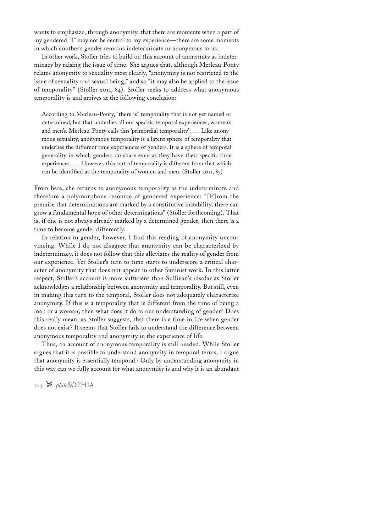wants to emphasize, through anonymity, that there are moments when a part of my gendered "I" may not be central to my experience—there are some moments in which another's gender remains indeterminate or anonymous to us.

In other work, Stoller tries to build on this account of anonymity as indeterminacy by raising the issue of time. She argues that, although Merleau-Ponty relates anonymity to sexuality most clearly, "anonymity is not restricted to the issue of sexuality and sexual being," and so "it may also be applied to the issue of temporality" (Stoller 2011, 84). Stoller seeks to address what anonymous temporality is and arrives at the following conclusion:

According to Merleau-Ponty, "there is" temporality that is not yet named or determined, but that underlies all our specific temporal experiences, women's and men's. Merleau-Ponty calls this 'primordial temporality'. . . . Like anonymous sexuality, anonymous temporality is a latent sphere of temporality that underlies the different time experiences of genders. It is a sphere of temporal generality in which genders do share even as they have their specific time experiences. . . . However, this sort of temporality is different from that which can be identified as the temporality of women and men. (Stoller 2011, 87)

From here, she returns to anonymous temporality as the indeterminate and therefore a polymorphous resource of gendered experience: "[F]rom the premise that determinations are marked by a constitutive instability, there can grow a fundamental hope of other determinations" (Stoller forthcoming). That is, if one is not always already marked by a determined gender, then there is a time to become gender differently.

In relation to gender, however, I find this reading of anonymity unconvincing. While I do not disagree that anonymity can be characterized by indeterminacy, it does not follow that this alleviates the reality of gender from our experience. Yet Stoller's turn to time starts to underscore a critical character of anonymity that does not appear in other feminist work. In this latter respect, Stoller's account is more sufficient than Sullivan's insofar as Stoller acknowledges a relationship between anonymity and temporality. But still, even in making this turn to the temporal, Stoller does not adequately characterize anonymity. If this is a temporality that is different from the time of being a man or a woman, then what does it do to our understanding of gender? Does this really mean, as Stoller suggests, that there is a time in life when gender does not exist? It seems that Stoller fails to understand the difference between anonymous temporality and anonymity in the experience of life.

Thus, an account of anonymous temporality is still needed. While Stoller argues that it is possible to understand anonymity in temporal terms, I argue that anonymity is essentially temporal.<sup>1</sup> Only by understanding anonymity in this way can we fully account for what anonymity is and why it is an abundant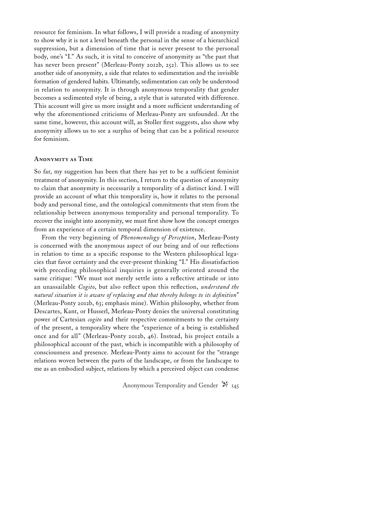resource for feminism. In what follows, I will provide a reading of anonymity to show why it is not a level beneath the personal in the sense of a hierarchical suppression, but a dimension of time that is never present to the personal body, one's "I." As such, it is vital to conceive of anonymity as "the past that has never been present" (Merleau-Ponty 2012b, 252). This allows us to see another side of anonymity, a side that relates to sedimentation and the invisible formation of gendered habits. Ultimately, sedimentation can only be understood in relation to anonymity. It is through anonymous temporality that gender becomes a sedimented style of being, a style that is saturated with difference. This account will give us more insight and a more sufficient understanding of why the aforementioned criticisms of Merleau-Ponty are unfounded. At the same time, however, this account will, as Stoller first suggests, also show why anonymity allows us to see a surplus of being that can be a political resource for feminism.

# **Anonymity as Time**

So far, my suggestion has been that there has yet to be a sufficient feminist treatment of anonymity. In this section, I return to the question of anonymity to claim that anonymity is necessarily a temporality of a distinct kind. I will provide an account of what this temporality is, how it relates to the personal body and personal time, and the ontological commitments that stem from the relationship between anonymous temporality and personal temporality. To recover the insight into anonymity, we must first show how the concept emerges from an experience of a certain temporal dimension of existence.

From the very beginning of *Phenomenology of Perception*, Merleau-Ponty is concerned with the anonymous aspect of our being and of our reflections in relation to time as a specific response to the Western philosophical legacies that favor certainty and the ever-present thinking "I." His dissatisfaction with preceding philosophical inquiries is generally oriented around the same critique: "We must not merely settle into a reflective attitude or into an unassailable *Cogito*, but also reflect upon this reflection, *understand the natural situation it is aware of replacing and that thereby belongs to its definition*" (Merleau-Ponty 2012b, 63; emphasis mine). Within philosophy, whether from Descartes, Kant, or Husserl, Merleau-Ponty denies the universal constituting power of Cartesian *cogito* and their respective commitments to the certainty of the present, a temporality where the "experience of a being is established once and for all" (Merleau-Ponty 2012b, 46). Instead, his project entails a philosophical account of the past, which is incompatible with a philosophy of consciousness and presence. Merleau-Ponty aims to account for the "strange relations woven between the parts of the landscape, or from the landscape to me as an embodied subject, relations by which a perceived object can condense

Anonymous Temporality and Gender  $\mathbb{N}_{145}$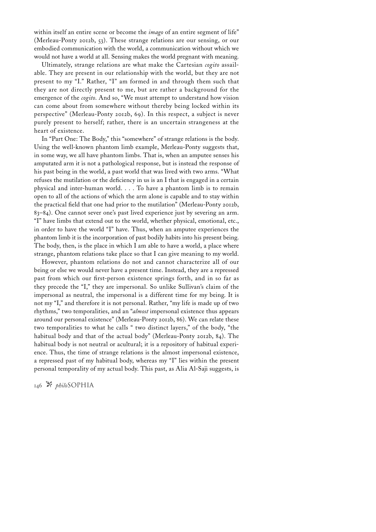within itself an entire scene or become the *imago* of an entire segment of life" (Merleau-Ponty 2012b, 53). These strange relations are our sensing, or our embodied communication with the world, a communication without which we would not have a world at all. Sensing makes the world pregnant with meaning.

Ultimately, strange relations are what make the Cartesian *cogito* assailable. They are present in our relationship with the world, but they are not present to my "I." Rather, "I" am formed in and through them such that they are not directly present to me, but are rather a background for the emergence of the *cogito*. And so, "We must attempt to understand how vision can come about from somewhere without thereby being locked within its perspective" (Merleau-Ponty 2012b, 69). In this respect, a subject is never purely present to herself; rather, there is an uncertain strangeness at the heart of existence.

In "Part One: The Body," this "somewhere" of strange relations is the body. Using the well-known phantom limb example, Merleau-Ponty suggests that, in some way, we all have phantom limbs. That is, when an amputee senses his amputated arm it is not a pathological response, but is instead the response of his past being in the world, a past world that was lived with two arms. "What refuses the mutilation or the deficiency in us is an I that is engaged in a certain physical and inter-human world. . . . To have a phantom limb is to remain open to all of the actions of which the arm alone is capable and to stay within the practical field that one had prior to the mutilation" (Merleau-Ponty 2012b, 83–84). One cannot sever one's past lived experience just by severing an arm. "I" have limbs that extend out to the world, whether physical, emotional, etc., in order to have the world "I" have. Thus, when an amputee experiences the phantom limb it is the incorporation of past bodily habits into his present being. The body, then, is the place in which I am able to have a world, a place where strange, phantom relations take place so that I can give meaning to my world.

However, phantom relations do not and cannot characterize all of our being or else we would never have a present time. Instead, they are a repressed past from which our first-person existence springs forth, and in so far as they precede the "I," they are impersonal. So unlike Sullivan's claim of the impersonal as neutral, the impersonal is a different time for my being. It is not my "I," and therefore it is not personal. Rather, "my life is made up of two rhythms," two temporalities, and an "*almost* impersonal existence thus appears around our personal existence" (Merleau-Ponty 2012b, 86). We can relate these two temporalities to what he calls " two distinct layers," of the body, "the habitual body and that of the actual body" (Merleau-Ponty 2012b, 84). The habitual body is not neutral or acultural; it is a repository of habitual experience. Thus, the time of strange relations is the almost impersonal existence, a repressed past of my habitual body, whereas my "I" lies within the present personal temporality of my actual body. This past, as Alia Al-Saji suggests, is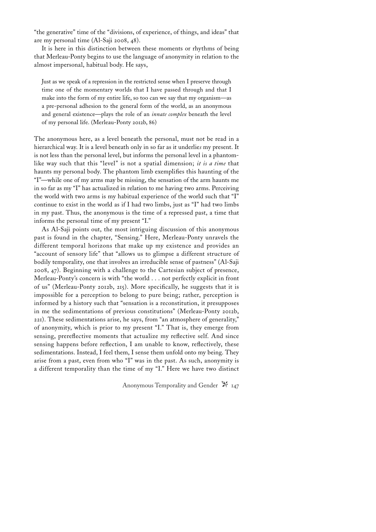"the generative" time of the "divisions, of experience, of things, and ideas" that are my personal time (Al-Saji 2008, 48).

It is here in this distinction between these moments or rhythms of being that Merleau-Ponty begins to use the language of anonymity in relation to the almost impersonal, habitual body. He says,

Just as we speak of a repression in the restricted sense when I preserve through time one of the momentary worlds that I have passed through and that I make into the form of my entire life, so too can we say that my organism—as a pre-personal adhesion to the general form of the world, as an anonymous and general existence—plays the role of an *innate complex* beneath the level of my personal life. (Merleau-Ponty 2012b, 86)

The anonymous here, as a level beneath the personal, must not be read in a hierarchical way. It is a level beneath only in so far as it underlie*s* my present. It is not less than the personal level, but informs the personal level in a phantomlike way such that this "level" is not a spatial dimension; *it is a time* that haunts my personal body. The phantom limb exemplifies this haunting of the "I"—while one of my arms may be missing, the sensation of the arm haunts me in so far as my "I" has actualized in relation to me having two arms. Perceiving the world with two arms is my habitual experience of the world such that "I" continue to exist in the world as if I had two limbs, just as "I" had two limbs in my past. Thus, the anonymous is the time of a repressed past, a time that informs the personal time of my present "I."

As Al-Saji points out, the most intriguing discussion of this anonymous past is found in the chapter, "Sensing." Here, Merleau-Ponty unravels the different temporal horizons that make up my existence and provides an "account of sensory life" that "allows us to glimpse a different structure of bodily temporality, one that involves an irreducible sense of pastness" (Al-Saji 2008, 47). Beginning with a challenge to the Cartesian subject of presence, Merleau-Ponty's concern is with "the world . . . not perfectly explicit in front of us" (Merleau-Ponty 2012b, 215). More specifically, he suggests that it is impossible for a perception to belong to pure being; rather, perception is informed by a history such that "sensation is a reconstitution, it presupposes in me the sedimentations of previous constitutions" (Merleau-Ponty 2012b, 221). These sedimentations arise, he says, from "an atmosphere of generality," of anonymity, which is prior to my present "I." That is, they emerge from sensing, prereflective moments that actualize my reflective self. And since sensing happens before reflection, I am unable to know, reflectively, these sedimentations. Instead, I feel them, I sense them unfold onto my being. They arise from a past, even from who "I" was in the past. As such, anonymity is a different temporality than the time of my "I." Here we have two distinct

Anonymous Temporality and Gender  $\mathbb{N}_{147}$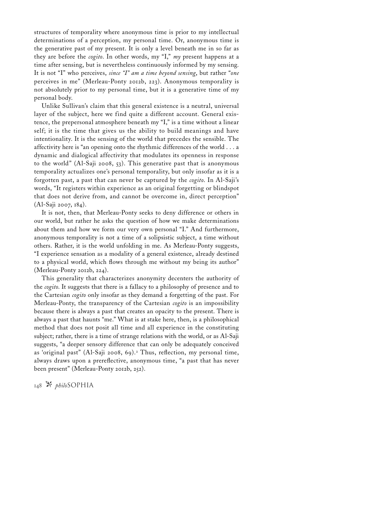structures of temporality where anonymous time is prior to my intellectual determinations of a perception, my personal time. Or, anonymous time is the generative past of my present. It is only a level beneath me in so far as they are before the *cogito*. In other words, my "I," *my* present happens at a time after sensing, but is nevertheless continuously informed by my sensing. It is not "I" who perceives, *since "I" am a time beyond sensing*, but rather "*one* perceives in me" (Merleau-Ponty 2012b, 223). Anonymous temporality is not absolutely prior to my personal time, but it is a generative time of my personal body.

Unlike Sullivan's claim that this general existence is a neutral, universal layer of the subject, here we find quite a different account. General existence, the prepersonal atmosphere beneath my "I," is a time without a linear self; it is the time that gives us the ability to build meanings and have intentionality. It is the sensing of the world that precedes the sensible. The affectivity here is "an opening onto the rhythmic differences of the world . . . a dynamic and dialogical affectivity that modulates its openness in response to the world" (Al-Saji 2008, 53). This generative past that is anonymous temporality actualizes one's personal temporality, but only insofar as it is a forgotten past, a past that can never be captured by the *cogito*. In Al-Saji's words, "It registers within experience as an original forgetting or blindspot that does not derive from, and cannot be overcome in, direct perception" (Al-Saji 2007, 184).

It is not, then, that Merleau-Ponty seeks to deny difference or others in our world, but rather he asks the question of how we make determinations about them and how we form our very own personal "I." And furthermore, anonymous temporality is not a time of a solipsistic subject, a time without others. Rather, it is the world unfolding in me. As Merleau-Ponty suggests, "I experience sensation as a modality of a general existence, already destined to a physical world, which flows through me without my being its author" (Merleau-Ponty 2012b, 224).

This generality that characterizes anonymity decenters the authority of the *cogito*. It suggests that there is a fallacy to a philosophy of presence and to the Cartesian *cogito* only insofar as they demand a forgetting of the past. For Merleau-Ponty, the transparency of the Cartesian *cogito* is an impossibility because there is always a past that creates an opacity to the present. There is always a past that haunts "me." What is at stake here, then, is a philosophical method that does not posit all time and all experience in the constituting subject; rather, there is a time of strange relations with the world, or as Al-Saji suggests, "a deeper sensory difference that can only be adequately conceived as 'original past" (Al-Saji 2008, 69).<sup>2</sup> Thus, reflection, my personal time, always draws upon a prereflective, anonymous time, "a past that has never been present" (Merleau-Ponty 2012b, 252).

148 <sup>34</sup> *philo*SOPHIA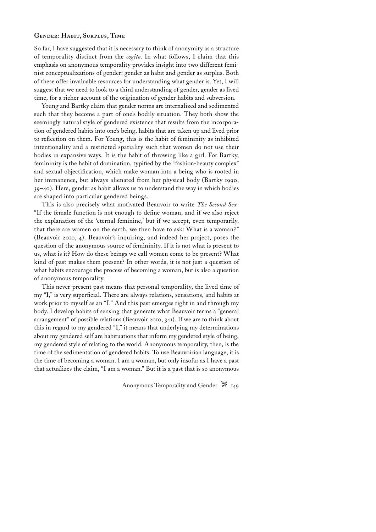### **Gender: Habit, Surplus, Time**

So far, I have suggested that it is necessary to think of anonymity as a structure of temporality distinct from the *cogito*. In what follows, I claim that this emphasis on anonymous temporality provides insight into two different feminist conceptualizations of gender: gender as habit and gender as surplus. Both of these offer invaluable resources for understanding what gender is. Yet, I will suggest that we need to look to a third understanding of gender, gender as lived time, for a richer account of the origination of gender habits and subversion.

Young and Bartky claim that gender norms are internalized and sedimented such that they become a part of one's bodily situation. They both show the seemingly natural style of gendered existence that results from the incorporation of gendered habits into one's being, habits that are taken up and lived prior to reflection on them. For Young, this is the habit of femininity as inhibited intentionality and a restricted spatiality such that women do not use their bodies in expansive ways. It is the habit of throwing like a girl. For Bartky, femininity is the habit of domination, typified by the "fashion-beauty complex" and sexual objectification, which make woman into a being who is rooted in her immanence, but always alienated from her physical body (Bartky 1990, 39–40). Here, gender as habit allows us to understand the way in which bodies are shaped into particular gendered beings.

This is also precisely what motivated Beauvoir to write *The Second Sex*: "If the female function is not enough to define woman, and if we also reject the explanation of the 'eternal feminine,' but if we accept, even temporarily, that there are women on the earth, we then have to ask: What is a woman?" (Beauvoir 2010, 4). Beauvoir's inquiring, and indeed her project, poses the question of the anonymous source of femininity. If it is not what is present to us, what is it? How do these beings we call women come to be present? What kind of past makes them present? In other words, it is not just a question of what habits encourage the process of becoming a woman, but is also a question of anonymous temporality.

This never-present past means that personal temporality, the lived time of my "I," is very superficial. There are always relations, sensations, and habits at work prior to myself as an "I." And this past emerges right in and through my body. I develop habits of sensing that generate what Beauvoir terms a "general arrangement" of possible relations (Beauvoir 2010, 341). If we are to think about this in regard to my gendered "I," it means that underlying my determinations about my gendered self are habituations that inform my gendered style of being, my gendered style of relating to the world. Anonymous temporality, then, is the time of the sedimentation of gendered habits. To use Beauvoirian language, it is the time of becoming a woman. I am a woman, but only insofar as I have a past that actualizes the claim, "I am a woman." But it is a past that is so anonymous

Anonymous Temporality and Gender  $\mathbb{R}$  149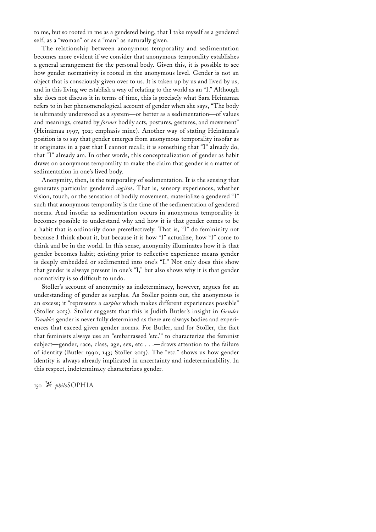to me, but so rooted in me as a gendered being, that I take myself as a gendered self, as a "woman" or as a "man" as naturally given.

The relationship between anonymous temporality and sedimentation becomes more evident if we consider that anonymous temporality establishes a general arrangement for the personal body. Given this, it is possible to see how gender normativity is rooted in the anonymous level. Gender is not an object that is consciously given over to us. It is taken up by us and lived by us, and in this living we establish a way of relating to the world as an "I." Although she does not discuss it in terms of time, this is precisely what Sara Heinämaa refers to in her phenomenological account of gender when she says, "The body is ultimately understood as a system—or better as a sedimentation—of values and meanings, created by *former* bodily acts, postures, gestures, and movement" (Heinämaa 1997, 302; emphasis mine). Another way of stating Heinämaa's position is to say that gender emerges from anonymous temporality insofar as it originates in a past that I cannot recall; it is something that "I" already do, that "I" already am. In other words, this conceptualization of gender as habit draws on anonymous temporality to make the claim that gender is a matter of sedimentation in one's lived body.

Anonymity, then, is the temporality of sedimentation. It is the sensing that generates particular gendered *cogito*s. That is, sensory experiences, whether vision, touch, or the sensation of bodily movement, materialize a gendered "I" such that anonymous temporality is the time of the sedimentation of gendered norms. And insofar as sedimentation occurs in anonymous temporality it becomes possible to understand why and how it is that gender comes to be a habit that is ordinarily done prereflectively. That is, "I" do femininity not because I think about it, but because it is how "I" actualize, how "I" come to think and be in the world. In this sense, anonymity illuminates how it is that gender becomes habit; existing prior to reflective experience means gender is deeply embedded or sedimented into one's "I." Not only does this show that gender is always present in one's "I," but also shows why it is that gender normativity is so difficult to undo.

Stoller's account of anonymity as indeterminacy, however, argues for an understanding of gender as surplus. As Stoller points out, the anonymous is an excess; it "represents a *surplus* which makes different experiences possible" (Stoller 2013). Stoller suggests that this is Judith Butler's insight in *Gender Trouble*: gender is never fully determined as there are always bodies and experiences that exceed given gender norms. For Butler, and for Stoller, the fact that feminists always use an "embarrassed 'etc.'" to characterize the feminist subject—gender, race, class, age, sex, etc . . .—draws attention to the failure of identity (Butler 1990; 143; Stoller 2013). The "etc." shows us how gender identity is always already implicated in uncertainty and indeterminability. In this respect, indeterminacy characterizes gender.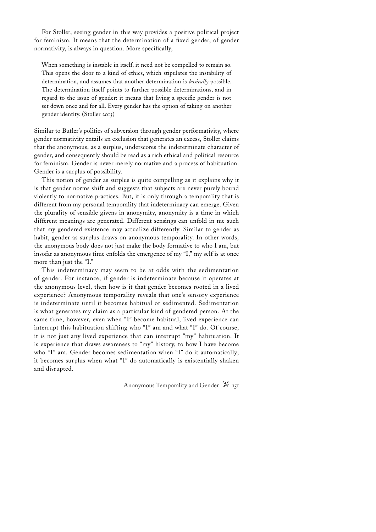For Stoller, seeing gender in this way provides a positive political project for feminism. It means that the determination of a fixed gender, of gender normativity, is always in question. More specifically,

When something is instable in itself, it need not be compelled to remain so. This opens the door to a kind of ethics, which stipulates the instability of determination, and assumes that another determination is *basically* possible. The determination itself points to further possible determinations, and in regard to the issue of gender: it means that living a specific gender is not set down once and for all. Every gender has the option of taking on another gender identity. (Stoller 2013)

Similar to Butler's politics of subversion through gender performativity, where gender normativity entails an exclusion that generates an excess, Stoller claims that the anonymous, as a surplus, underscores the indeterminate character of gender, and consequently should be read as a rich ethical and political resource for feminism. Gender is never merely normative and a process of habituation. Gender is a surplus of possibility.

This notion of gender as surplus is quite compelling as it explains why it is that gender norms shift and suggests that subjects are never purely bound violently to normative practices. But, it is only through a temporality that is different from my personal temporality that indeterminacy can emerge. Given the plurality of sensible givens in anonymity, anonymity is a time in which different meanings are generated. Different sensings can unfold in me such that my gendered existence may actualize differently. Similar to gender as habit, gender as surplus draws on anonymous temporality. In other words, the anonymous body does not just make the body formative to who I am, but insofar as anonymous time enfolds the emergence of my "I," my self is at once more than just the "I."

This indeterminacy may seem to be at odds with the sedimentation of gender. For instance, if gender is indeterminate because it operates at the anonymous level, then how is it that gender becomes rooted in a lived experience? Anonymous temporality reveals that one's sensory experience is indeterminate until it becomes habitual or sedimented. Sedimentation is what generates my claim as a particular kind of gendered person. At the same time, however, even when "I" become habitual, lived experience can interrupt this habituation shifting who "I" am and what "I" do. Of course, it is not just any lived experience that can interrupt "my" habituation. It is experience that draws awareness to "my" history, to how I have become who "I" am. Gender becomes sedimentation when "I" do it automatically; it becomes surplus when what "I" do automatically is existentially shaken and disrupted.

Anonymous Temporality and Gender  $\mathbb{N}$  151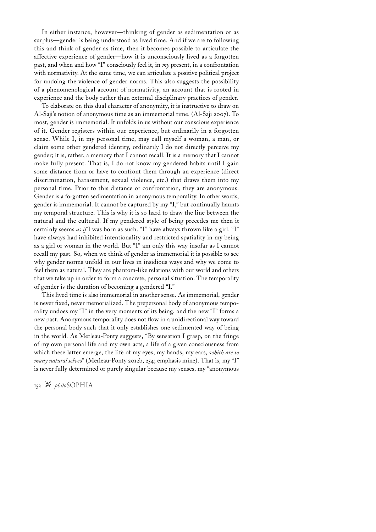In either instance, however—thinking of gender as sedimentation or as surplus—gender is being understood as lived time. And if we are to following this and think of gender as time, then it becomes possible to articulate the affective experience of gender—how it is unconsciously lived as a forgotten past, and when and how "I" consciously feel it, in *my* present, in a confrontation with normativity. At the same time, we can articulate a positive political project for undoing the violence of gender norms. This also suggests the possibility of a phenomenological account of normativity, an account that is rooted in experience and the body rather than external disciplinary practices of gender.

To elaborate on this dual character of anonymity, it is instructive to draw on Al-Saji's notion of anonymous time as an immemorial time. (Al-Saji 2007). To most, gender is immemorial. It unfolds in us without our conscious experience of it. Gender registers within our experience, but ordinarily in a forgotten sense. While I, in my personal time, may call myself a woman, a man, or claim some other gendered identity, ordinarily I do not directly perceive my gender; it is, rather, a memory that I cannot recall. It is a memory that I cannot make fully present. That is, I do not know my gendered habits until I gain some distance from or have to confront them through an experience (direct discrimination, harassment, sexual violence, etc.) that draws them into my personal time. Prior to this distance or confrontation, they are anonymous. Gender is a forgotten sedimentation in anonymous temporality. In other words, gender is immemorial. It cannot be captured by my "I," but continually haunts my temporal structure. This is why it is so hard to draw the line between the natural and the cultural. If my gendered style of being precedes me then it certainly seems *as if* I was born as such. "I" have always thrown like a girl. "I" have always had inhibited intentionality and restricted spatiality in my being as a girl or woman in the world. But "I" am only this way insofar as I cannot recall my past. So, when we think of gender as immemorial it is possible to see why gender norms unfold in our lives in insidious ways and why we come to feel them as natural. They are phantom-like relations with our world and others that we take up in order to form a concrete, personal situation. The temporality of gender is the duration of becoming a gendered "I."

This lived time is also immemorial in another sense. As immemorial, gender is never fixed, never memorialized. The prepersonal body of anonymous temporality undoes my "I" in the very moments of its being, and the new "I" forms a new past. Anonymous temporality does not flow in a unidirectional way toward the personal body such that it only establishes one sedimented way of being in the world. As Merleau-Ponty suggests, "By sensation I grasp, on the fringe of my own personal life and my own acts, a life of a given consciousness from which these latter emerge, the life of my eyes, my hands, my ears, *which are so many natural selve*s" (Merleau-Ponty 2012b, 254; emphasis mine). That is, my "I" is never fully determined or purely singular because my senses, my "anonymous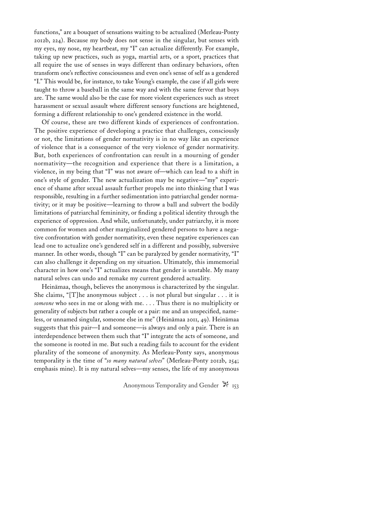functions," are a bouquet of sensations waiting to be actualized (Merleau-Ponty 2012b, 224). Because my body does not sense in the singular, but senses with my eyes, my nose, my heartbeat, my "I" can actualize differently. For example, taking up new practices, such as yoga, martial arts, or a sport, practices that all require the use of senses in ways different than ordinary behaviors, often transform one's reflective consciousness and even one's sense of self as a gendered "I." This would be, for instance, to take Young's example, the case if all girls were taught to throw a baseball in the same way and with the same fervor that boys are. The same would also be the case for more violent experiences such as street harassment or sexual assault where different sensory functions are heightened, forming a different relationship to one's gendered existence in the world.

Of course, these are two different kinds of experiences of confrontation. The positive experience of developing a practice that challenges, consciously or not, the limitations of gender normativity is in no way like an experience of violence that is a consequence of the very violence of gender normativity. But, both experiences of confrontation can result in a mourning of gender normativity—the recognition and experience that there is a limitation, a violence, in my being that "I" was not aware of—which can lead to a shift in one's style of gender. The new actualization may be negative—"my" experience of shame after sexual assault further propels me into thinking that I was responsible, resulting in a further sedimentation into patriarchal gender normativity; or it may be positive—learning to throw a ball and subvert the bodily limitations of patriarchal femininity, or finding a political identity through the experience of oppression. And while, unfortunately, under patriarchy, it is more common for women and other marginalized gendered persons to have a negative confrontation with gender normativity, even these negative experiences can lead one to actualize one's gendered self in a different and possibly, subversive manner. In other words, though "I" can be paralyzed by gender normativity, "I" can also challenge it depending on my situation. Ultimately, this immemorial character in how one's "I" actualizes means that gender is unstable. My many natural selves can undo and remake my current gendered actuality.

Heinämaa, though, believes the anonymous is characterized by the singular. She claims, "[T]he anonymous subject . . . is not plural but singular . . . it is *someone* who sees in me or along with me. . . . Thus there is no multiplicity or generality of subjects but rather a couple or a pair: me and an unspecified, nameless, or unnamed singular, someone else in me" (Heinämaa 2011, 49). Heinämaa suggests that this pair—I and someone—is always and only a pair. There is an interdependence between them such that "I" integrate the acts of someone, and the someone is rooted in me. But such a reading fails to account for the evident plurality of the someone of anonymity. As Merleau-Ponty says, anonymous temporality is the time of "*so many natural selves*" (Merleau-Ponty 2012b, 254; emphasis mine). It is my natural selves—my senses, the life of my anonymous

Anonymous Temporality and Gender  $\mathbb{X}_{153}$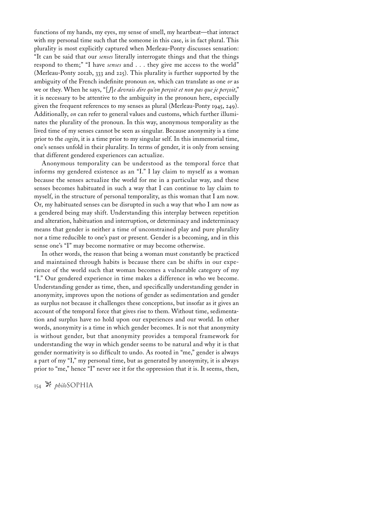functions of my hands, my eyes, my sense of smell, my heartbeat—that interact with my personal time such that the someone in this case, is in fact plural. This plurality is most explicitly captured when Merleau-Ponty discusses sensation: "It can be said that our *senses* literally interrogate things and that the things respond to them;" "I have *senses* and . . . they give me access to the world" (Merleau-Ponty 2012b, 333 and 225). This plurality is further supported by the ambiguity of the French indefinite pronoun *on,* which can translate as one *or* as we or they. When he says, "[*J*]*e devrais dire qu'on perçoit et non pas que je perçoit*," it is necessary to be attentive to the ambiguity in the pronoun here, especially given the frequent references to my senses as plural (Merleau-Ponty 1945, 249). Additionally, *on* can refer to general values and customs, which further illuminates the plurality of the pronoun. In this way, anonymous temporality as the lived time of my senses cannot be seen as singular. Because anonymity is a time prior to the *cogito*, it is a time prior to my singular self. In this immemorial time, one's senses unfold in their plurality. In terms of gender, it is only from sensing that different gendered experiences can actualize.

Anonymous temporality can be understood as the temporal force that informs my gendered existence as an "I." I lay claim to myself as a woman because the senses actualize the world for me in a particular way, and these senses becomes habituated in such a way that I can continue to lay claim to myself, in the structure of personal temporality, as this woman that I am now. Or, my habituated senses can be disrupted in such a way that who I am now as a gendered being may shift. Understanding this interplay between repetition and alteration, habituation and interruption, or determinacy and indeterminacy means that gender is neither a time of unconstrained play and pure plurality nor a time reducible to one's past or present. Gender is a becoming, and in this sense one's "I" may become normative or may become otherwise.

In other words, the reason that being a woman must constantly be practiced and maintained through habits is because there can be shifts in our experience of the world such that woman becomes a vulnerable category of my "I." Our gendered experience in time makes a difference in who we become. Understanding gender as time, then, and specifically understanding gender in anonymity, improves upon the notions of gender as sedimentation and gender as surplus not because it challenges these conceptions, but insofar as it gives an account of the temporal force that gives rise to them. Without time, sedimentation and surplus have no hold upon our experiences and our world. In other words, anonymity is a time in which gender becomes. It is not that anonymity is without gender, but that anonymity provides a temporal framework for understanding the way in which gender seems to be natural and why it is that gender normativity is so difficult to undo. As rooted in "me," gender is always a part of my "I," my personal time, but as generated by anonymity, it is always prior to "me," hence "I" never see it for the oppression that it is. It seems, then,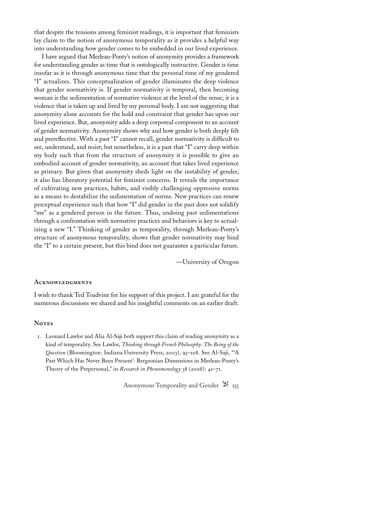that despite the tensions among feminist readings, it is important that feminists lay claim to the notion of anonymous temporality as it provides a helpful way into understanding how gender comes to be embedded in our lived experience.

I have argued that Merleau-Ponty's notion of anonymity provides a framework for understanding gender as time that is ontologically instructive. Gender is time insofar as it is through anonymous time that the personal time of my gendered "I" actualizes. This conceptualization of gender illuminates the deep violence that gender normativity is. If gender normativity is temporal, then becoming woman is the sedimentation of normative violence at the level of the sense; it is a violence that is taken up and lived by my personal body. I am not suggesting that anonymity alone accounts for the hold and constraint that gender has upon our lived experience. But, anonymity adds a deep corporeal component to an account of gender normativity. Anonymity shows why and how gender is both deeply felt and prereflective. With a past "I" cannot recall, gender normativity is difficult to see, understand, and resist; but nonetheless, it is a past that "I" carry deep within my body such that from the structure of anonymity it is possible to give an embodied account of gender normativity, an account that takes lived experience as primary. But given that anonymity sheds light on the instability of gender, it also has liberatory potential for feminist concerns. It reveals the importance of cultivating new practices, habits, and visibly challenging oppressive norms as a means to destabilize the sedimentation of norms. New practices can renew perceptual experience such that how "I" did gender in the past does not solidify "me" as a gendered person in the future. Thus, undoing past sedimentations through a confrontation with normative practices and behaviors is key to actualizing a new "I." Thinking of gender as temporality, through Merleau-Ponty's structure of anonymous temporality, shows that gender normativity may bind the "I" to a certain present, but this bind does not guarantee a particular future.

—University of Oregon

### **Acknowledgments**

I wish to thank Ted Toadvine for his support of this project. I am grateful for the numerous discussions we shared and his insightful comments on an earlier draft.

#### **Notes**

1. Leonard Lawlor and Alia Al-Saji both support this claim of reading anonymity as a kind of temporality. See Lawlor, *Thinking through French Philosophy: The Being of the Question* (Bloomington: Indiana University Press, 2003), 95–108. See Al-Saji, "'A Past Which Has Never Been Present': Bergsonian Dimensions in Merleau-Ponty's Theory of the Prepersonal," in *Research in Phenomenology* 38 (2008): 41–71.

Anonymous Temporality and Gender  $\mathbb{X}$  155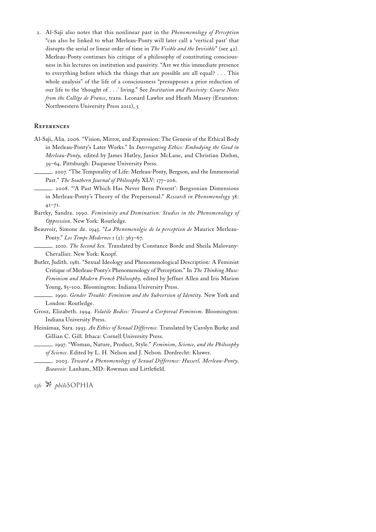2. Al-Saji also notes that this nonlinear past in the *Phenomenology of Perception* "can also be linked to what Merleau-Ponty will later call a 'vertical past' that disrupts the serial or linear order of time in *The Visible and the Invisible*" (see 42). Merleau-Ponty continues his critique of a philosophy of constituting consciousness in his lectures on institution and passivity. "Are we this immediate presence to everything before which the things that are possible are all equal? . . . This whole analysis" of the life of a consciousness "presupposes a prior reduction of our life to the 'thought of . . .' living." See *Institution and Passivity: Course Notes from the Collége de France*, trans. Leonard Lawlor and Heath Massey (Evanston: Northwestern University Press 2012), 5

# **References**

- Al-Saji, Alia. 2006. "Vision, Mirror, and Expression: The Genesis of the Ethical Body in Merleau-Ponty's Later Works." In *Interrogating Ethics: Embodying the Good in Merleau-Ponty,* edited by James Hatley, Janice McLane, and Christian Diehm, 39–64. Pittsburgh: Duquesne University Press.
	- . 2007. "The Temporality of Life: Merleau-Ponty, Bergson, and the Immemorial Past." *The Southern Journal of Philosophy* XLV: 177–206.
	- . 2008. "'A Past Which Has Never Been Present': Bergsonian Dimensions in Merleau-Ponty's Theory of the Prepersonal." *Research in Phenomenology* 38: 41–71.
- Bartky, Sandra. 1990. *Femininity and Domination: Studies in the Phenomenology of Oppression*. New York: Routledge.
- Beauvoir, Simone de. 1945. "*La Phenomenolgie de la perception de* Maurice Merleau-Ponty." *Les Temps Modernes* 1 (2): 363–67.
- . 2010. *The Second Sex.* Translated by Constance Borde and Sheila Malovany-Chevallier. New York: Knopf.
- Butler, Judith. 1981. "Sexual Ideology and Phenomenological Description: A Feminist Critique of Merleau-Ponty's Phenomenology of Perception." In *The Thinking Muse: Feminism and Modern French Philosophy,* edited by Jeffner Allen and Iris Marion Young, 85–100. Bloomington: Indiana University Press.

. 1990. *Gender Trouble: Feminism and the Subversion of Identity*. New York and London: Routledge.

- Grosz, Elizabeth. 1994. *Volatile Bodies: Toward a Corporeal Feminism*. Bloomington: Indiana University Press.
- Heinämaa, Sara. 1993. *An Ethics of Sexual Difference.* Translated by Carolyn Burke and Gillian C. Gill. Ithaca: Cornell University Press.
	- . 1997. "Woman, Nature, Product, Style." *Feminism, Science, and the Philosophy of Science.* Edited by L. H. Nelson and J. Nelson. Dordrecht: Kluwer.
		- . 2003. *Toward a Phenomenology of Sexual Difference: Husserl, Merleau-Ponty, Beauvoir.* Lanham, MD: Rowman and Littlefield.